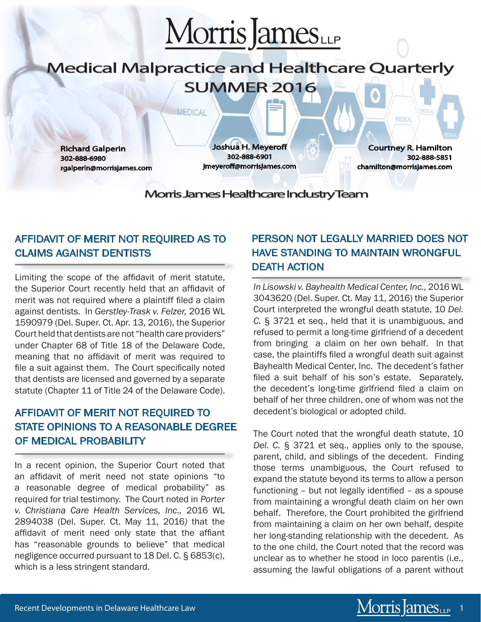

# Medical Malpractice and Healthcare Quarterly SUMMER 2016

**MEDICAL** 

Richard Galperin 302-888-6980 rgalperin@morrisjames.com

Joshua H. Meyeroff 302-888-6901 jmeyeroff@morrisjames.com

Courtney R. Hamilton 302-888-5851 chamilton@morrisjames.com

**MEDICAL** 

Morris James Healthcare Industry Team

### AFFIDAVIT OF MERIT NOT REQUIRED AS TO CLAIMS AGAINST DENTISTS

Limiting the scope of the affidavit of merit statute, the Superior Court recently held that an affidavit of merit was not required where a plaintiff filed a claim against dentists. In *Gerstley-Trask v. Felzer,* 2016 WL 1590979 (Del. Super. Ct. Apr. 13, 2016), the Superior Court held that dentists are not "health care providers" under Chapter 68 of Title 18 of the Delaware Code, meaning that no affidavit of merit was required to file a suit against them. The Court specifically noted that dentists are licensed and governed by a separate statute (Chapter 11 of Title 24 of the Delaware Code).

## AFFIDAVIT OF MERIT NOT REQUIRED TO STATE OPINIONS TO A REASONABLE DEGREE OF MEDICAL PROBABILITY

In a recent opinion, the Superior Court noted that an affidavit of merit need not state opinions "to a reasonable degree of medical probability" as required for trial testimony. The Court noted in *Porter v. Christiana Care Health Services, Inc.,* 2016 WL 2894038 (Del. Super. Ct. May 11, 2016*)* that the affidavit of merit need only state that the affiant has "reasonable grounds to believe" that medical negligence occurred pursuant to 18 Del. C. § 6853(c), which is a less stringent standard.

# PERSON NOT LEGALLY MARRIED DOES NOT HAVE STANDING TO MAINTAIN WRONGFUL DEATH ACTION

*In Lisowski v. Bayhealth Medical Center, Inc.,* 2016 WL 3043620 (Del. Super. Ct. May 11, 2016) the Superior Court interpreted the wrongful death statute, 10 *Del. C.* § 3721 et seq., held that it is unambiguous, and refused to permit a long-time girlfriend of a decedent from bringing a claim on her own behalf. In that case, the plaintiffs filed a wrongful death suit against Bayhealth Medical Center, Inc. The decedent's father filed a suit behalf of his son's estate. Separately, the decedent's long-time girlfriend filed a claim on behalf of her three children, one of whom was not the decedent's biological or adopted child.

The Court noted that the wrongful death statute, 10 *Del. C.* § 3721 et seq., applies only to the spouse, parent, child, and siblings of the decedent. Finding those terms unambiguous, the Court refused to expand the statute beyond its terms to allow a person functioning – but not legally identified – as a spouse from maintaining a wrongful death claim on her own behalf. Therefore, the Court prohibited the girlfriend from maintaining a claim on her own behalf, despite her long-standing relationship with the decedent. As to the one child, the Court noted that the record was unclear as to whether he stood in loco parentis (i.e., assuming the lawful obligations of a parent without

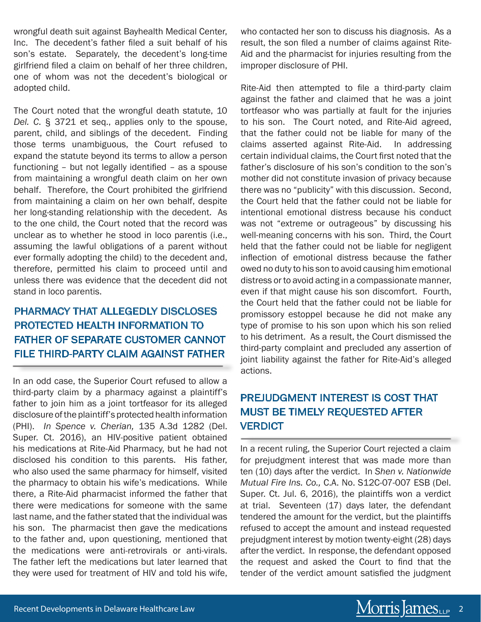wrongful death suit against Bayhealth Medical Center, Inc. The decedent's father filed a suit behalf of his son's estate. Separately, the decedent's long-time girlfriend filed a claim on behalf of her three children, one of whom was not the decedent's biological or adopted child.

The Court noted that the wrongful death statute, 10 *Del. C*. § 3721 et seq., applies only to the spouse, parent, child, and siblings of the decedent. Finding those terms unambiguous, the Court refused to expand the statute beyond its terms to allow a person functioning – but not legally identified – as a spouse from maintaining a wrongful death claim on her own behalf. Therefore, the Court prohibited the girlfriend from maintaining a claim on her own behalf, despite her long-standing relationship with the decedent. As to the one child, the Court noted that the record was unclear as to whether he stood in loco parentis (i.e., assuming the lawful obligations of a parent without ever formally adopting the child) to the decedent and, therefore, permitted his claim to proceed until and unless there was evidence that the decedent did not stand in loco parentis.

## PHARMACY THAT ALLEGEDLY DISCLOSES PROTECTED HEALTH INFORMATION TO FATHER OF SEPARATE CUSTOMER CANNOT FILE THIRD-PARTY CLAIM AGAINST FATHER

In an odd case, the Superior Court refused to allow a third-party claim by a pharmacy against a plaintiff's father to join him as a joint tortfeasor for its alleged disclosure of the plaintiff's protected health information (PHI). *In Spence v. Cherian,* 135 A.3d 1282 (Del. Super. Ct. 2016), an HIV-positive patient obtained his medications at Rite-Aid Pharmacy, but he had not disclosed his condition to this parents. His father, who also used the same pharmacy for himself, visited the pharmacy to obtain his wife's medications. While there, a Rite-Aid pharmacist informed the father that there were medications for someone with the same last name, and the father stated that the individual was his son. The pharmacist then gave the medications to the father and, upon questioning, mentioned that the medications were anti-retrovirals or anti-virals. The father left the medications but later learned that they were used for treatment of HIV and told his wife,

who contacted her son to discuss his diagnosis. As a result, the son filed a number of claims against Rite-Aid and the pharmacist for injuries resulting from the improper disclosure of PHI.

Rite-Aid then attempted to file a third-party claim against the father and claimed that he was a joint tortfeasor who was partially at fault for the injuries to his son. The Court noted, and Rite-Aid agreed, that the father could not be liable for many of the claims asserted against Rite-Aid. In addressing certain individual claims, the Court first noted that the father's disclosure of his son's condition to the son's mother did not constitute invasion of privacy because there was no "publicity" with this discussion. Second, the Court held that the father could not be liable for intentional emotional distress because his conduct was not "extreme or outrageous" by discussing his well-meaning concerns with his son. Third, the Court held that the father could not be liable for negligent inflection of emotional distress because the father owed no duty to his son to avoid causing him emotional distress or to avoid acting in a compassionate manner, even if that might cause his son discomfort. Fourth, the Court held that the father could not be liable for promissory estoppel because he did not make any type of promise to his son upon which his son relied to his detriment. As a result, the Court dismissed the third-party complaint and precluded any assertion of joint liability against the father for Rite-Aid's alleged actions.

### PREJUDGMENT INTEREST IS COST THAT MUST BE TIMELY REQUESTED AFTER **VERDICT**

In a recent ruling, the Superior Court rejected a claim for prejudgment interest that was made more than ten (10) days after the verdict. In *Shen v. Nationwide Mutual Fire Ins. Co.,* C.A. No. S12C-07-007 ESB (Del. Super. Ct. Jul. 6, 2016), the plaintiffs won a verdict at trial. Seventeen (17) days later, the defendant tendered the amount for the verdict, but the plaintiffs refused to accept the amount and instead requested prejudgment interest by motion twenty-eight (28) days after the verdict. In response, the defendant opposed the request and asked the Court to find that the tender of the verdict amount satisfied the judgment

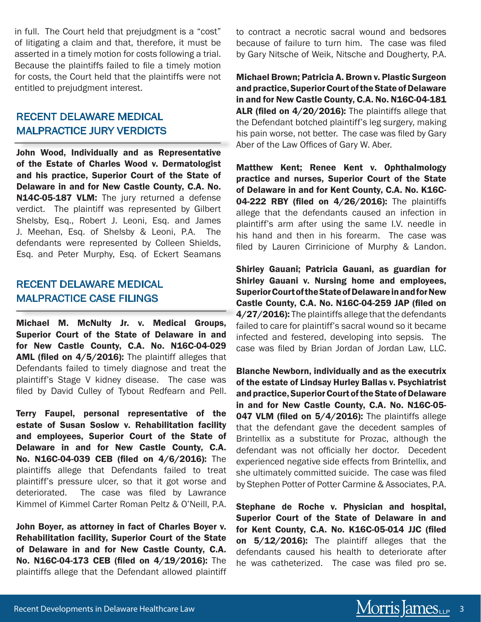in full. The Court held that prejudgment is a "cost" of litigating a claim and that, therefore, it must be asserted in a timely motion for costs following a trial. Because the plaintiffs failed to file a timely motion for costs, the Court held that the plaintiffs were not entitled to prejudgment interest.

#### RECENT DELAWARE MEDICAL MALPRACTICE JURY VERDICTS

John Wood, Individually and as Representative of the Estate of Charles Wood v. Dermatologist and his practice, Superior Court of the State of Delaware in and for New Castle County, C.A. No. N14C-05-187 VLM: The jury returned a defense verdict. The plaintiff was represented by Gilbert Shelsby, Esq., Robert J. Leoni, Esq. and James J. Meehan, Esq. of Shelsby & Leoni, P.A. The defendants were represented by Colleen Shields, Esq. and Peter Murphy, Esq. of Eckert Seamans

#### RECENT DELAWARE MEDICAL MALPRACTICE CASE FILINGS

Michael M. McNulty Jr. v. Medical Groups, Superior Court of the State of Delaware in and for New Castle County, C.A. No. N16C-04-029 AML (filed on 4/5/2016): The plaintiff alleges that Defendants failed to timely diagnose and treat the plaintiff's Stage V kidney disease. The case was filed by David Culley of Tybout Redfearn and Pell.

Terry Faupel, personal representative of the estate of Susan Soslow v. Rehabilitation facility and employees, Superior Court of the State of Delaware in and for New Castle County, C.A. No. N16C-04-039 CEB (filed on 4/6/2016): The plaintiffs allege that Defendants failed to treat plaintiff's pressure ulcer, so that it got worse and deteriorated. The case was filed by Lawrance Kimmel of Kimmel Carter Roman Peltz & O'Neill, P.A.

John Boyer, as attorney in fact of Charles Boyer v. Rehabilitation facility, Superior Court of the State of Delaware in and for New Castle County, C.A. No. N16C-04-173 CEB (filed on 4/19/2016): The plaintiffs allege that the Defendant allowed plaintiff to contract a necrotic sacral wound and bedsores because of failure to turn him. The case was filed by Gary Nitsche of Weik, Nitsche and Dougherty, P.A.

Michael Brown; Patricia A. Brown v. Plastic Surgeon and practice, Superior Court of the State of Delaware in and for New Castle County, C.A. No. N16C-04-181 ALR (filed on 4/20/2016): The plaintiffs allege that the Defendant botched plaintiff's leg surgery, making his pain worse, not better. The case was filed by Gary Aber of the Law Offices of Gary W. Aber.

Matthew Kent; Renee Kent v. Ophthalmology practice and nurses, Superior Court of the State of Delaware in and for Kent County, C.A. No. K16C-04-222 RBY (filed on 4/26/2016): The plaintiffs allege that the defendants caused an infection in plaintiff's arm after using the same I.V. needle in his hand and then in his forearm. The case was filed by Lauren Cirrinicione of Murphy & Landon.

Shirley Gauani; Patricia Gauani, as guardian for Shirley Gauani v. Nursing home and employees, Superior Court of the State of Delaware in and for New Castle County, C.A. No. N16C-04-259 JAP (filed on 4/27/2016): The plaintiffs allege that the defendants failed to care for plaintiff's sacral wound so it became infected and festered, developing into sepsis. The case was filed by Brian Jordan of Jordan Law, LLC.

Blanche Newborn, individually and as the executrix of the estate of Lindsay Hurley Ballas v. Psychiatrist and practice, Superior Court of the State of Delaware in and for New Castle County, C.A. No. N16C-05- 047 VLM (filed on 5/4/2016): The plaintiffs allege that the defendant gave the decedent samples of Brintellix as a substitute for Prozac, although the defendant was not officially her doctor. Decedent experienced negative side effects from Brintellix, and she ultimately committed suicide. The case was filed by Stephen Potter of Potter Carmine & Associates, P.A.

Stephane de Roche v. Physician and hospital, Superior Court of the State of Delaware in and for Kent County, C.A. No. K16C-05-014 JJC (filed on 5/12/2016): The plaintiff alleges that the defendants caused his health to deteriorate after he was catheterized. The case was filed pro se.